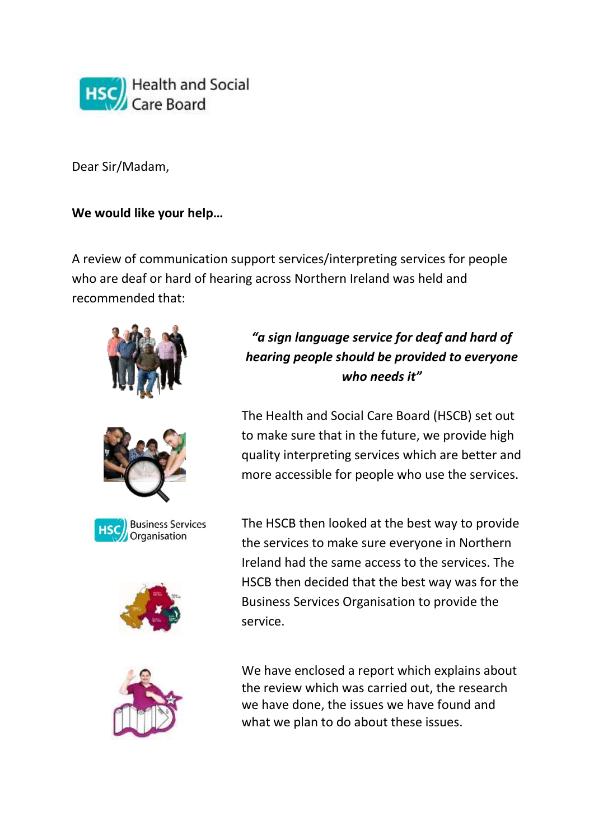

Dear Sir/Madam,

#### **We would like your help…**

A review of communication support services/interpreting services for people who are deaf or hard of hearing across Northern Ireland was held and recommended that:



# *"a sign language service for deaf and hard of hearing people should be provided to everyone who needs it"*

The Health and Social Care Board (HSCB) set out to make sure that in the future, we provide high quality interpreting services which are better and more accessible for people who use the services.

The HSCB then looked at the best way to provide the services to make sure everyone in Northern Ireland had the same access to the services. The HSCB then decided that the best way was for the Business Services Organisation to provide the service.

We have enclosed a report which explains about the review which was carried out, the research we have done, the issues we have found and what we plan to do about these issues.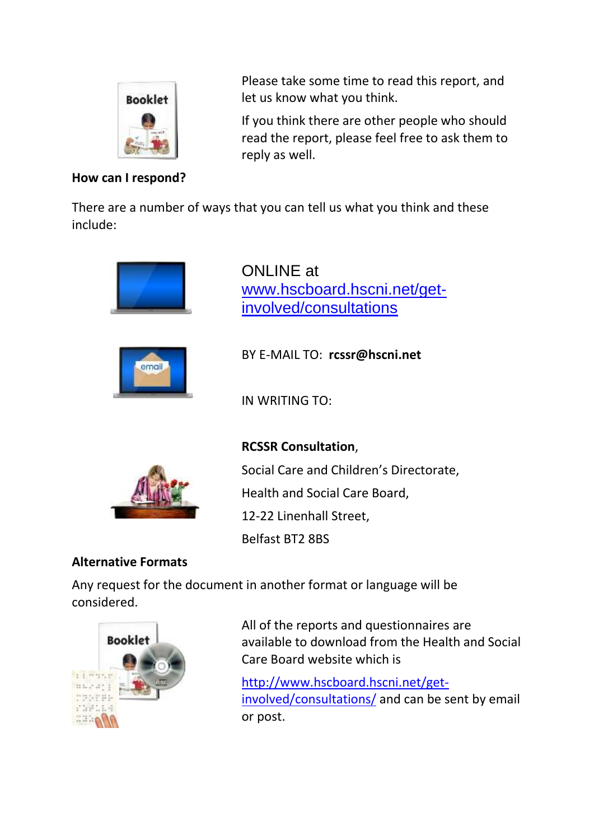

## **How can I respond?**

Please take some time to read this report, and let us know what you think.

If you think there are other people who should read the report, please feel free to ask them to reply as well.

There are a number of ways that you can tell us what you think and these include:





ONLINE at [www.hscboard.hscni.net/get](http://www.hscboard.hscni.net/get-involved/consultations)[involved/consultations](http://www.hscboard.hscni.net/get-involved/consultations)

BY E-MAIL TO: **rcssr@hscni.net**

IN WRITING TO:



**RCSSR Consultation**, Social Care and Children's Directorate, Health and Social Care Board, 12-22 Linenhall Street, Belfast BT2 8BS

## **Alternative Formats**

Any request for the document in another format or language will be considered.



All of the reports and questionnaires are available to download from the Health and Social Care Board website which is

[http://www.hscboard.hscni.net/get](http://www.hscboard.hscni.net/get-involved/consultations/)[involved/consultations/](http://www.hscboard.hscni.net/get-involved/consultations/) and can be sent by email or post.